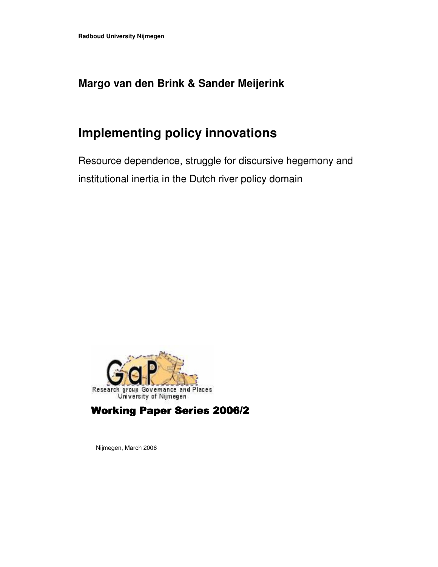# **Margo van den Brink & Sander Meijerink**

# **Implementing policy innovations**

Resource dependence, struggle for discursive hegemony and institutional inertia in the Dutch river policy domain



Working Paper Series 2006/2

Nijmegen, March 2006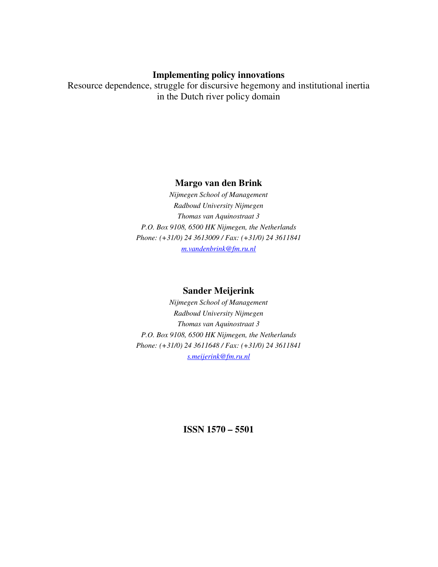# **Implementing policy innovations**

Resource dependence, struggle for discursive hegemony and institutional inertia in the Dutch river policy domain

# **Margo van den Brink**

*Nijmegen School of Management Radboud University Nijmegen Thomas van Aquinostraat 3 P.O. Box 9108, 6500 HK Nijmegen, the Netherlands Phone: (+31/0) 24 3613009 / Fax: (+31/0) 24 3611841 m.vandenbrink@fm.ru.nl*

## **Sander Meijerink**

*Nijmegen School of Management Radboud University Nijmegen Thomas van Aquinostraat 3 P.O. Box 9108, 6500 HK Nijmegen, the Netherlands Phone: (+31/0) 24 3611648 / Fax: (+31/0) 24 3611841 s.meijerink@fm.ru.nl*

**ISSN 1570 – 5501**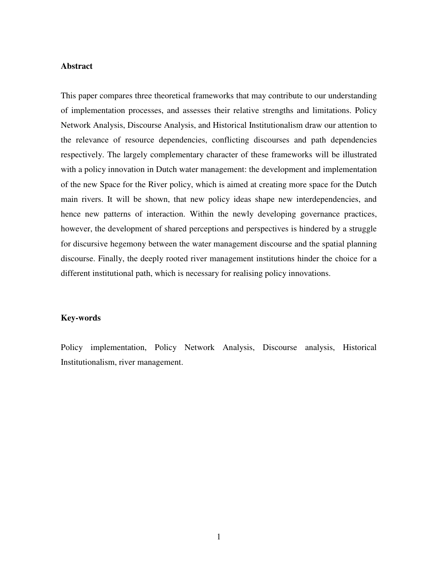#### **Abstract**

This paper compares three theoretical frameworks that may contribute to our understanding of implementation processes, and assesses their relative strengths and limitations. Policy Network Analysis, Discourse Analysis, and Historical Institutionalism draw our attention to the relevance of resource dependencies, conflicting discourses and path dependencies respectively. The largely complementary character of these frameworks will be illustrated with a policy innovation in Dutch water management: the development and implementation of the new Space for the River policy, which is aimed at creating more space for the Dutch main rivers. It will be shown, that new policy ideas shape new interdependencies, and hence new patterns of interaction. Within the newly developing governance practices, however, the development of shared perceptions and perspectives is hindered by a struggle for discursive hegemony between the water management discourse and the spatial planning discourse. Finally, the deeply rooted river management institutions hinder the choice for a different institutional path, which is necessary for realising policy innovations.

#### **Key-words**

Policy implementation, Policy Network Analysis, Discourse analysis, Historical Institutionalism, river management.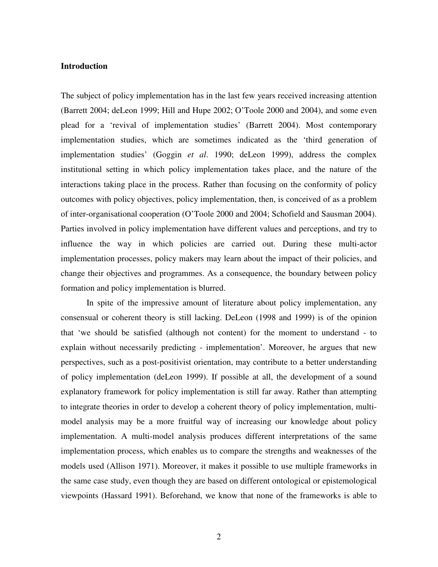#### **Introduction**

The subject of policy implementation has in the last few years received increasing attention (Barrett 2004; deLeon 1999; Hill and Hupe 2002; O'Toole 2000 and 2004), and some even plead for a 'revival of implementation studies' (Barrett 2004). Most contemporary implementation studies, which are sometimes indicated as the 'third generation of implementation studies' (Goggin *et al*. 1990; deLeon 1999), address the complex institutional setting in which policy implementation takes place, and the nature of the interactions taking place in the process. Rather than focusing on the conformity of policy outcomes with policy objectives, policy implementation, then, is conceived of as a problem of inter-organisational cooperation (O'Toole 2000 and 2004; Schofield and Sausman 2004). Parties involved in policy implementation have different values and perceptions, and try to influence the way in which policies are carried out. During these multi-actor implementation processes, policy makers may learn about the impact of their policies, and change their objectives and programmes. As a consequence, the boundary between policy formation and policy implementation is blurred.

In spite of the impressive amount of literature about policy implementation, any consensual or coherent theory is still lacking. DeLeon (1998 and 1999) is of the opinion that 'we should be satisfied (although not content) for the moment to understand - to explain without necessarily predicting - implementation'. Moreover, he argues that new perspectives, such as a post-positivist orientation, may contribute to a better understanding of policy implementation (deLeon 1999). If possible at all, the development of a sound explanatory framework for policy implementation is still far away. Rather than attempting to integrate theories in order to develop a coherent theory of policy implementation, multimodel analysis may be a more fruitful way of increasing our knowledge about policy implementation. A multi-model analysis produces different interpretations of the same implementation process, which enables us to compare the strengths and weaknesses of the models used (Allison 1971). Moreover, it makes it possible to use multiple frameworks in the same case study, even though they are based on different ontological or epistemological viewpoints (Hassard 1991). Beforehand, we know that none of the frameworks is able to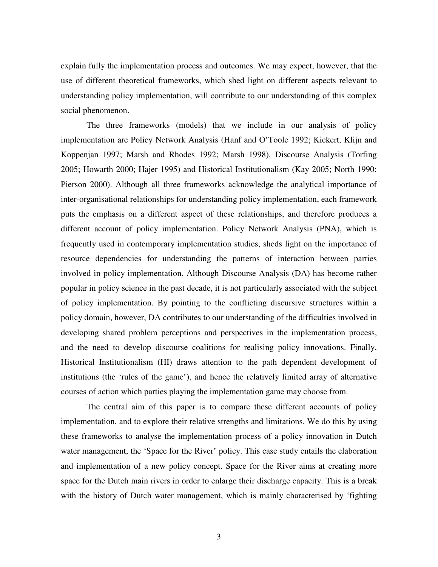explain fully the implementation process and outcomes. We may expect, however, that the use of different theoretical frameworks, which shed light on different aspects relevant to understanding policy implementation, will contribute to our understanding of this complex social phenomenon.

The three frameworks (models) that we include in our analysis of policy implementation are Policy Network Analysis (Hanf and O'Toole 1992; Kickert, Klijn and Koppenjan 1997; Marsh and Rhodes 1992; Marsh 1998), Discourse Analysis (Torfing 2005; Howarth 2000; Hajer 1995) and Historical Institutionalism (Kay 2005; North 1990; Pierson 2000). Although all three frameworks acknowledge the analytical importance of inter-organisational relationships for understanding policy implementation, each framework puts the emphasis on a different aspect of these relationships, and therefore produces a different account of policy implementation. Policy Network Analysis (PNA), which is frequently used in contemporary implementation studies, sheds light on the importance of resource dependencies for understanding the patterns of interaction between parties involved in policy implementation. Although Discourse Analysis (DA) has become rather popular in policy science in the past decade, it is not particularly associated with the subject of policy implementation. By pointing to the conflicting discursive structures within a policy domain, however, DA contributes to our understanding of the difficulties involved in developing shared problem perceptions and perspectives in the implementation process, and the need to develop discourse coalitions for realising policy innovations. Finally, Historical Institutionalism (HI) draws attention to the path dependent development of institutions (the 'rules of the game'), and hence the relatively limited array of alternative courses of action which parties playing the implementation game may choose from.

The central aim of this paper is to compare these different accounts of policy implementation, and to explore their relative strengths and limitations. We do this by using these frameworks to analyse the implementation process of a policy innovation in Dutch water management, the 'Space for the River' policy. This case study entails the elaboration and implementation of a new policy concept. Space for the River aims at creating more space for the Dutch main rivers in order to enlarge their discharge capacity. This is a break with the history of Dutch water management, which is mainly characterised by 'fighting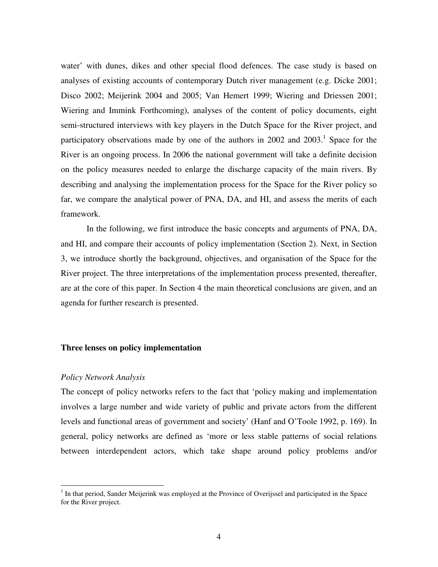water' with dunes, dikes and other special flood defences. The case study is based on analyses of existing accounts of contemporary Dutch river management (e.g. Dicke 2001; Disco 2002; Meijerink 2004 and 2005; Van Hemert 1999; Wiering and Driessen 2001; Wiering and Immink Forthcoming), analyses of the content of policy documents, eight semi-structured interviews with key players in the Dutch Space for the River project, and participatory observations made by one of the authors in 2002 and 2003.<sup>1</sup> Space for the River is an ongoing process. In 2006 the national government will take a definite decision on the policy measures needed to enlarge the discharge capacity of the main rivers. By describing and analysing the implementation process for the Space for the River policy so far, we compare the analytical power of PNA, DA, and HI, and assess the merits of each framework.

In the following, we first introduce the basic concepts and arguments of PNA, DA, and HI, and compare their accounts of policy implementation (Section 2). Next, in Section 3, we introduce shortly the background, objectives, and organisation of the Space for the River project. The three interpretations of the implementation process presented, thereafter, are at the core of this paper. In Section 4 the main theoretical conclusions are given, and an agenda for further research is presented.

#### **Three lenses on policy implementation**

#### *Policy Network Analysis*

The concept of policy networks refers to the fact that 'policy making and implementation involves a large number and wide variety of public and private actors from the different levels and functional areas of government and society' (Hanf and O'Toole 1992, p. 169). In general, policy networks are defined as 'more or less stable patterns of social relations between interdependent actors, which take shape around policy problems and/or

<sup>&</sup>lt;sup>1</sup> In that period, Sander Meijerink was employed at the Province of Overijssel and participated in the Space for the River project.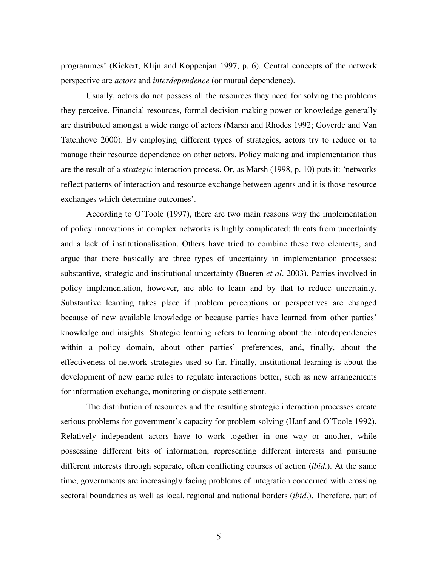programmes' (Kickert, Klijn and Koppenjan 1997, p. 6). Central concepts of the network perspective are *actors* and *interdependence* (or mutual dependence).

Usually, actors do not possess all the resources they need for solving the problems they perceive. Financial resources, formal decision making power or knowledge generally are distributed amongst a wide range of actors (Marsh and Rhodes 1992; Goverde and Van Tatenhove 2000). By employing different types of strategies, actors try to reduce or to manage their resource dependence on other actors. Policy making and implementation thus are the result of a *strategic* interaction process. Or, as Marsh (1998, p. 10) puts it: 'networks reflect patterns of interaction and resource exchange between agents and it is those resource exchanges which determine outcomes'.

According to O'Toole (1997), there are two main reasons why the implementation of policy innovations in complex networks is highly complicated: threats from uncertainty and a lack of institutionalisation. Others have tried to combine these two elements, and argue that there basically are three types of uncertainty in implementation processes: substantive, strategic and institutional uncertainty (Bueren *et al*. 2003). Parties involved in policy implementation, however, are able to learn and by that to reduce uncertainty. Substantive learning takes place if problem perceptions or perspectives are changed because of new available knowledge or because parties have learned from other parties' knowledge and insights. Strategic learning refers to learning about the interdependencies within a policy domain, about other parties' preferences, and, finally, about the effectiveness of network strategies used so far. Finally, institutional learning is about the development of new game rules to regulate interactions better, such as new arrangements for information exchange, monitoring or dispute settlement.

The distribution of resources and the resulting strategic interaction processes create serious problems for government's capacity for problem solving (Hanf and O'Toole 1992). Relatively independent actors have to work together in one way or another, while possessing different bits of information, representing different interests and pursuing different interests through separate, often conflicting courses of action (*ibid*.). At the same time, governments are increasingly facing problems of integration concerned with crossing sectoral boundaries as well as local, regional and national borders (*ibid*.). Therefore, part of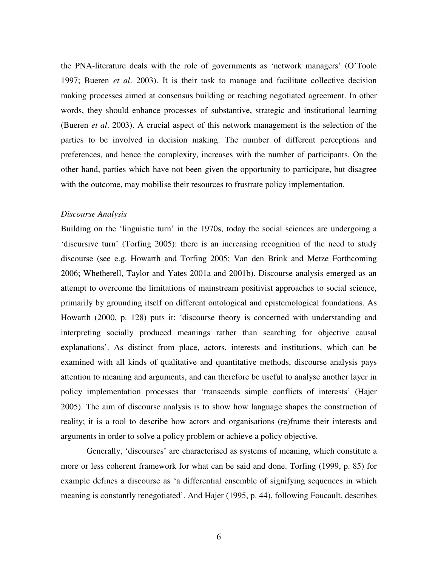the PNA-literature deals with the role of governments as 'network managers' (O'Toole 1997; Bueren *et al*. 2003). It is their task to manage and facilitate collective decision making processes aimed at consensus building or reaching negotiated agreement. In other words, they should enhance processes of substantive, strategic and institutional learning (Bueren *et al*. 2003). A crucial aspect of this network management is the selection of the parties to be involved in decision making. The number of different perceptions and preferences, and hence the complexity, increases with the number of participants. On the other hand, parties which have not been given the opportunity to participate, but disagree with the outcome, may mobilise their resources to frustrate policy implementation.

#### *Discourse Analysis*

Building on the 'linguistic turn' in the 1970s, today the social sciences are undergoing a 'discursive turn' (Torfing 2005): there is an increasing recognition of the need to study discourse (see e.g. Howarth and Torfing 2005; Van den Brink and Metze Forthcoming 2006; Whetherell, Taylor and Yates 2001a and 2001b). Discourse analysis emerged as an attempt to overcome the limitations of mainstream positivist approaches to social science, primarily by grounding itself on different ontological and epistemological foundations. As Howarth (2000, p. 128) puts it: 'discourse theory is concerned with understanding and interpreting socially produced meanings rather than searching for objective causal explanations'. As distinct from place, actors, interests and institutions, which can be examined with all kinds of qualitative and quantitative methods, discourse analysis pays attention to meaning and arguments, and can therefore be useful to analyse another layer in policy implementation processes that 'transcends simple conflicts of interests' (Hajer 2005). The aim of discourse analysis is to show how language shapes the construction of reality; it is a tool to describe how actors and organisations (re)frame their interests and arguments in order to solve a policy problem or achieve a policy objective.

Generally, 'discourses' are characterised as systems of meaning, which constitute a more or less coherent framework for what can be said and done. Torfing (1999, p. 85) for example defines a discourse as 'a differential ensemble of signifying sequences in which meaning is constantly renegotiated'. And Hajer (1995, p. 44), following Foucault, describes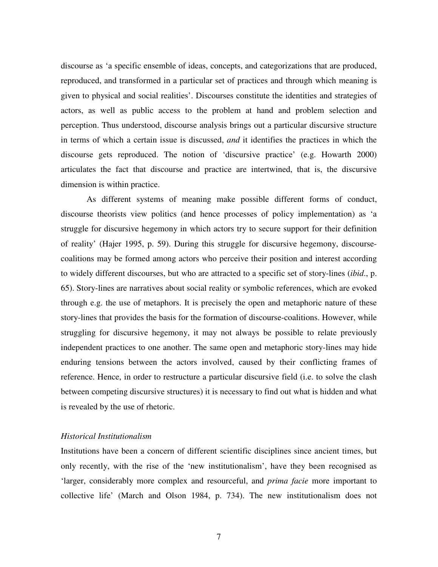discourse as 'a specific ensemble of ideas, concepts, and categorizations that are produced, reproduced, and transformed in a particular set of practices and through which meaning is given to physical and social realities'. Discourses constitute the identities and strategies of actors, as well as public access to the problem at hand and problem selection and perception. Thus understood, discourse analysis brings out a particular discursive structure in terms of which a certain issue is discussed, *and* it identifies the practices in which the discourse gets reproduced. The notion of 'discursive practice' (e.g. Howarth 2000) articulates the fact that discourse and practice are intertwined, that is, the discursive dimension is within practice.

As different systems of meaning make possible different forms of conduct, discourse theorists view politics (and hence processes of policy implementation) as 'a struggle for discursive hegemony in which actors try to secure support for their definition of reality' (Hajer 1995, p. 59). During this struggle for discursive hegemony, discoursecoalitions may be formed among actors who perceive their position and interest according to widely different discourses, but who are attracted to a specific set of story-lines (*ibid*., p. 65). Story-lines are narratives about social reality or symbolic references, which are evoked through e.g. the use of metaphors. It is precisely the open and metaphoric nature of these story-lines that provides the basis for the formation of discourse-coalitions. However, while struggling for discursive hegemony, it may not always be possible to relate previously independent practices to one another. The same open and metaphoric story-lines may hide enduring tensions between the actors involved, caused by their conflicting frames of reference. Hence, in order to restructure a particular discursive field (i.e. to solve the clash between competing discursive structures) it is necessary to find out what is hidden and what is revealed by the use of rhetoric.

#### *Historical Institutionalism*

Institutions have been a concern of different scientific disciplines since ancient times, but only recently, with the rise of the 'new institutionalism', have they been recognised as 'larger, considerably more complex and resourceful, and *prima facie* more important to collective life' (March and Olson 1984, p. 734). The new institutionalism does not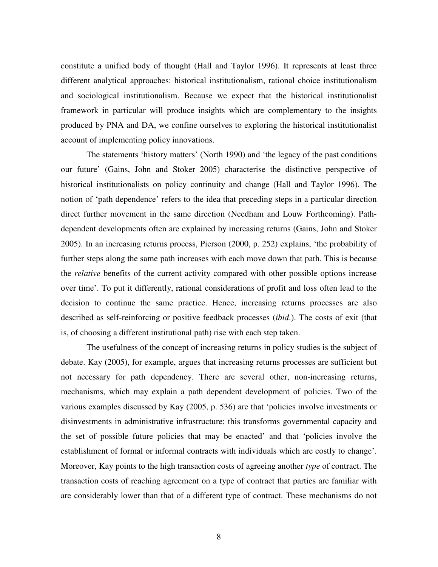constitute a unified body of thought (Hall and Taylor 1996). It represents at least three different analytical approaches: historical institutionalism, rational choice institutionalism and sociological institutionalism. Because we expect that the historical institutionalist framework in particular will produce insights which are complementary to the insights produced by PNA and DA, we confine ourselves to exploring the historical institutionalist account of implementing policy innovations.

The statements 'history matters' (North 1990) and 'the legacy of the past conditions our future' (Gains, John and Stoker 2005) characterise the distinctive perspective of historical institutionalists on policy continuity and change (Hall and Taylor 1996). The notion of 'path dependence' refers to the idea that preceding steps in a particular direction direct further movement in the same direction (Needham and Louw Forthcoming). Pathdependent developments often are explained by increasing returns (Gains, John and Stoker 2005). In an increasing returns process, Pierson (2000, p. 252) explains, 'the probability of further steps along the same path increases with each move down that path. This is because the *relative* benefits of the current activity compared with other possible options increase over time'. To put it differently, rational considerations of profit and loss often lead to the decision to continue the same practice. Hence, increasing returns processes are also described as self-reinforcing or positive feedback processes (*ibid*.). The costs of exit (that is, of choosing a different institutional path) rise with each step taken.

The usefulness of the concept of increasing returns in policy studies is the subject of debate. Kay (2005), for example, argues that increasing returns processes are sufficient but not necessary for path dependency. There are several other, non-increasing returns, mechanisms, which may explain a path dependent development of policies. Two of the various examples discussed by Kay (2005, p. 536) are that 'policies involve investments or disinvestments in administrative infrastructure; this transforms governmental capacity and the set of possible future policies that may be enacted' and that 'policies involve the establishment of formal or informal contracts with individuals which are costly to change'. Moreover, Kay points to the high transaction costs of agreeing another *type* of contract. The transaction costs of reaching agreement on a type of contract that parties are familiar with are considerably lower than that of a different type of contract. These mechanisms do not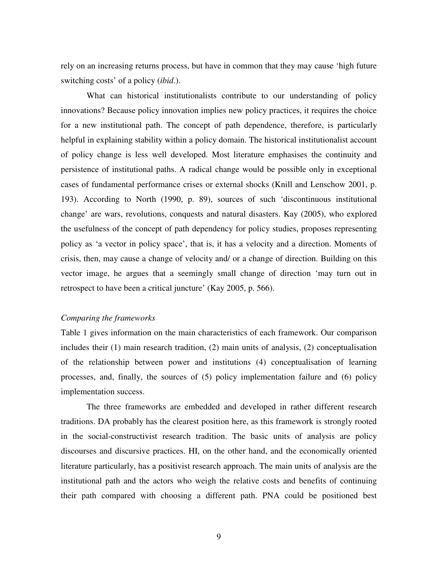rely on an increasing returns process, but have in common that they may cause 'high future switching costs' of a policy (*ibid*.).

What can historical institutionalists contribute to our understanding of policy innovations? Because policy innovation implies new policy practices, it requires the choice for a new institutional path. The concept of path dependence, therefore, is particularly helpful in explaining stability within a policy domain. The historical institutionalist account of policy change is less well developed. Most literature emphasises the continuity and persistence of institutional paths. A radical change would be possible only in exceptional cases of fundamental performance crises or external shocks (Knill and Lenschow 2001, p. 193). According to North (1990, p. 89), sources of such 'discontinuous institutional change' are wars, revolutions, conquests and natural disasters. Kay (2005), who explored the usefulness of the concept of path dependency for policy studies, proposes representing policy as 'a vector in policy space', that is, it has a velocity and a direction. Moments of crisis, then, may cause a change of velocity and/ or a change of direction. Building on this vector image, he argues that a seemingly small change of direction 'may turn out in retrospect to have been a critical juncture' (Kay 2005, p. 566).

#### *Comparing the frameworks*

Table 1 gives information on the main characteristics of each framework. Our comparison includes their (1) main research tradition, (2) main units of analysis, (2) conceptualisation of the relationship between power and institutions (4) conceptualisation of learning processes, and, finally, the sources of (5) policy implementation failure and (6) policy implementation success.

The three frameworks are embedded and developed in rather different research traditions. DA probably has the clearest position here, as this framework is strongly rooted in the social-constructivist research tradition. The basic units of analysis are policy discourses and discursive practices. HI, on the other hand, and the economically oriented literature particularly, has a positivist research approach. The main units of analysis are the institutional path and the actors who weigh the relative costs and benefits of continuing their path compared with choosing a different path. PNA could be positioned best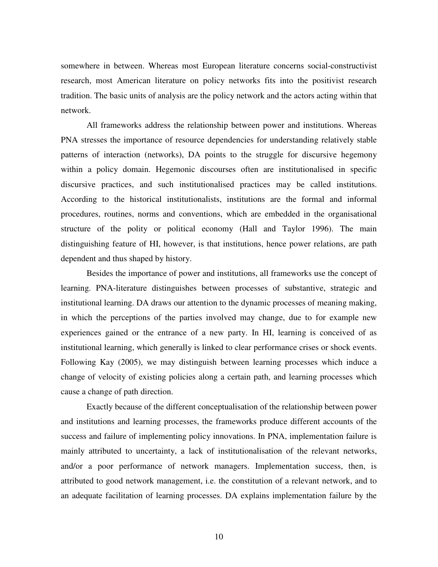somewhere in between. Whereas most European literature concerns social-constructivist research, most American literature on policy networks fits into the positivist research tradition. The basic units of analysis are the policy network and the actors acting within that network.

All frameworks address the relationship between power and institutions. Whereas PNA stresses the importance of resource dependencies for understanding relatively stable patterns of interaction (networks), DA points to the struggle for discursive hegemony within a policy domain. Hegemonic discourses often are institutionalised in specific discursive practices, and such institutionalised practices may be called institutions. According to the historical institutionalists, institutions are the formal and informal procedures, routines, norms and conventions, which are embedded in the organisational structure of the polity or political economy (Hall and Taylor 1996). The main distinguishing feature of HI, however, is that institutions, hence power relations, are path dependent and thus shaped by history.

Besides the importance of power and institutions, all frameworks use the concept of learning. PNA-literature distinguishes between processes of substantive, strategic and institutional learning. DA draws our attention to the dynamic processes of meaning making, in which the perceptions of the parties involved may change, due to for example new experiences gained or the entrance of a new party. In HI, learning is conceived of as institutional learning, which generally is linked to clear performance crises or shock events. Following Kay (2005), we may distinguish between learning processes which induce a change of velocity of existing policies along a certain path, and learning processes which cause a change of path direction.

Exactly because of the different conceptualisation of the relationship between power and institutions and learning processes, the frameworks produce different accounts of the success and failure of implementing policy innovations. In PNA, implementation failure is mainly attributed to uncertainty, a lack of institutionalisation of the relevant networks, and/or a poor performance of network managers. Implementation success, then, is attributed to good network management, i.e. the constitution of a relevant network, and to an adequate facilitation of learning processes. DA explains implementation failure by the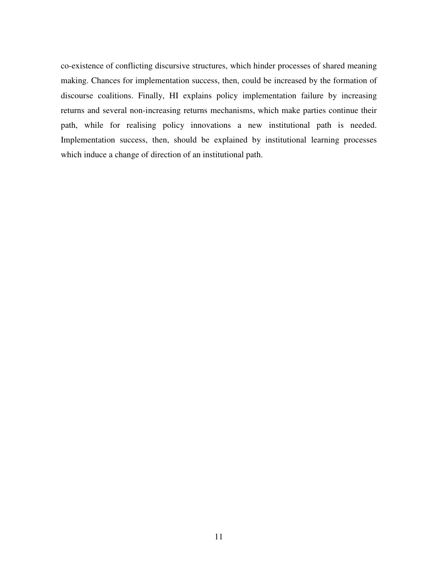co-existence of conflicting discursive structures, which hinder processes of shared meaning making. Chances for implementation success, then, could be increased by the formation of discourse coalitions. Finally, HI explains policy implementation failure by increasing returns and several non-increasing returns mechanisms, which make parties continue their path, while for realising policy innovations a new institutional path is needed. Implementation success, then, should be explained by institutional learning processes which induce a change of direction of an institutional path.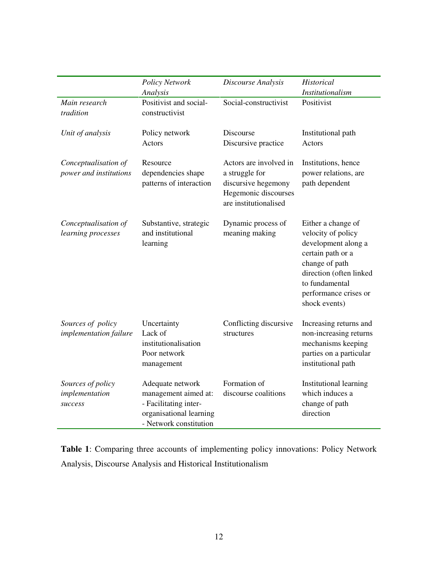|                                                | <b>Policy Network</b><br>Analysis                                                                                      | Discourse Analysis                                                                                               | Historical<br><b>Institutionalism</b>                                                                                                                                                         |
|------------------------------------------------|------------------------------------------------------------------------------------------------------------------------|------------------------------------------------------------------------------------------------------------------|-----------------------------------------------------------------------------------------------------------------------------------------------------------------------------------------------|
| Main research<br>tradition                     | Positivist and social-<br>constructivist                                                                               | Social-constructivist                                                                                            | Positivist                                                                                                                                                                                    |
| Unit of analysis                               | Policy network<br>Actors                                                                                               | Discourse<br>Discursive practice                                                                                 | Institutional path<br>Actors                                                                                                                                                                  |
| Conceptualisation of<br>power and institutions | Resource<br>dependencies shape<br>patterns of interaction                                                              | Actors are involved in<br>a struggle for<br>discursive hegemony<br>Hegemonic discourses<br>are institutionalised | Institutions, hence<br>power relations, are<br>path dependent                                                                                                                                 |
| Conceptualisation of<br>learning processes     | Substantive, strategic<br>and institutional<br>learning                                                                | Dynamic process of<br>meaning making                                                                             | Either a change of<br>velocity of policy<br>development along a<br>certain path or a<br>change of path<br>direction (often linked<br>to fundamental<br>performance crises or<br>shock events) |
| Sources of policy<br>implementation failure    | Uncertainty<br>Lack of<br>institutionalisation<br>Poor network<br>management                                           | Conflicting discursive<br>structures                                                                             | Increasing returns and<br>non-increasing returns<br>mechanisms keeping<br>parties on a particular<br>institutional path                                                                       |
| Sources of policy<br>implementation<br>success | Adequate network<br>management aimed at:<br>- Facilitating inter-<br>organisational learning<br>- Network constitution | Formation of<br>discourse coalitions                                                                             | Institutional learning<br>which induces a<br>change of path<br>direction                                                                                                                      |

**Table 1**: Comparing three accounts of implementing policy innovations: Policy Network Analysis, Discourse Analysis and Historical Institutionalism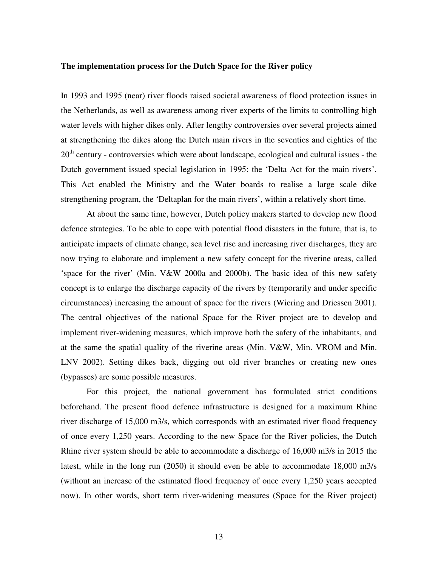#### **The implementation process for the Dutch Space for the River policy**

In 1993 and 1995 (near) river floods raised societal awareness of flood protection issues in the Netherlands, as well as awareness among river experts of the limits to controlling high water levels with higher dikes only. After lengthy controversies over several projects aimed at strengthening the dikes along the Dutch main rivers in the seventies and eighties of the  $20<sup>th</sup>$  century - controversies which were about landscape, ecological and cultural issues - the Dutch government issued special legislation in 1995: the 'Delta Act for the main rivers'. This Act enabled the Ministry and the Water boards to realise a large scale dike strengthening program, the 'Deltaplan for the main rivers', within a relatively short time.

At about the same time, however, Dutch policy makers started to develop new flood defence strategies. To be able to cope with potential flood disasters in the future, that is, to anticipate impacts of climate change, sea level rise and increasing river discharges, they are now trying to elaborate and implement a new safety concept for the riverine areas, called 'space for the river' (Min. V&W 2000a and 2000b). The basic idea of this new safety concept is to enlarge the discharge capacity of the rivers by (temporarily and under specific circumstances) increasing the amount of space for the rivers (Wiering and Driessen 2001). The central objectives of the national Space for the River project are to develop and implement river-widening measures, which improve both the safety of the inhabitants, and at the same the spatial quality of the riverine areas (Min. V&W, Min. VROM and Min. LNV 2002). Setting dikes back, digging out old river branches or creating new ones (bypasses) are some possible measures.

For this project, the national government has formulated strict conditions beforehand. The present flood defence infrastructure is designed for a maximum Rhine river discharge of 15,000 m3/s, which corresponds with an estimated river flood frequency of once every 1,250 years. According to the new Space for the River policies, the Dutch Rhine river system should be able to accommodate a discharge of 16,000 m3/s in 2015 the latest, while in the long run (2050) it should even be able to accommodate 18,000 m3/s (without an increase of the estimated flood frequency of once every 1,250 years accepted now). In other words, short term river-widening measures (Space for the River project)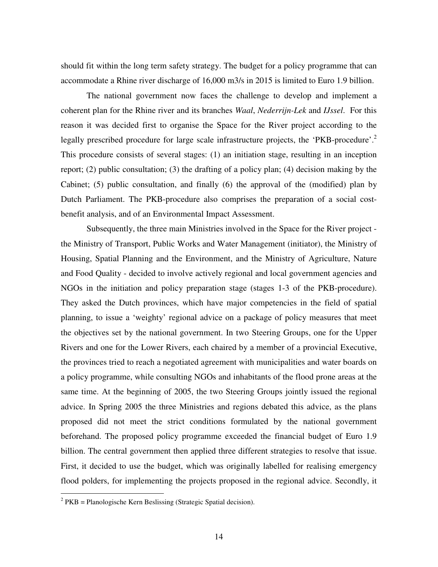should fit within the long term safety strategy. The budget for a policy programme that can accommodate a Rhine river discharge of 16,000 m3/s in 2015 is limited to Euro 1.9 billion.

The national government now faces the challenge to develop and implement a coherent plan for the Rhine river and its branches *Waal*, *Nederrijn-Lek* and *IJssel*. For this reason it was decided first to organise the Space for the River project according to the legally prescribed procedure for large scale infrastructure projects, the 'PKB-procedure'.<sup>2</sup> This procedure consists of several stages: (1) an initiation stage, resulting in an inception report; (2) public consultation; (3) the drafting of a policy plan; (4) decision making by the Cabinet; (5) public consultation, and finally (6) the approval of the (modified) plan by Dutch Parliament. The PKB-procedure also comprises the preparation of a social costbenefit analysis, and of an Environmental Impact Assessment.

Subsequently, the three main Ministries involved in the Space for the River project the Ministry of Transport, Public Works and Water Management (initiator), the Ministry of Housing, Spatial Planning and the Environment, and the Ministry of Agriculture, Nature and Food Quality - decided to involve actively regional and local government agencies and NGOs in the initiation and policy preparation stage (stages 1-3 of the PKB-procedure). They asked the Dutch provinces, which have major competencies in the field of spatial planning, to issue a 'weighty' regional advice on a package of policy measures that meet the objectives set by the national government. In two Steering Groups, one for the Upper Rivers and one for the Lower Rivers, each chaired by a member of a provincial Executive, the provinces tried to reach a negotiated agreement with municipalities and water boards on a policy programme, while consulting NGOs and inhabitants of the flood prone areas at the same time. At the beginning of 2005, the two Steering Groups jointly issued the regional advice. In Spring 2005 the three Ministries and regions debated this advice, as the plans proposed did not meet the strict conditions formulated by the national government beforehand. The proposed policy programme exceeded the financial budget of Euro 1.9 billion. The central government then applied three different strategies to resolve that issue. First, it decided to use the budget, which was originally labelled for realising emergency flood polders, for implementing the projects proposed in the regional advice. Secondly, it

 $2$  PKB = Planologische Kern Beslissing (Strategic Spatial decision).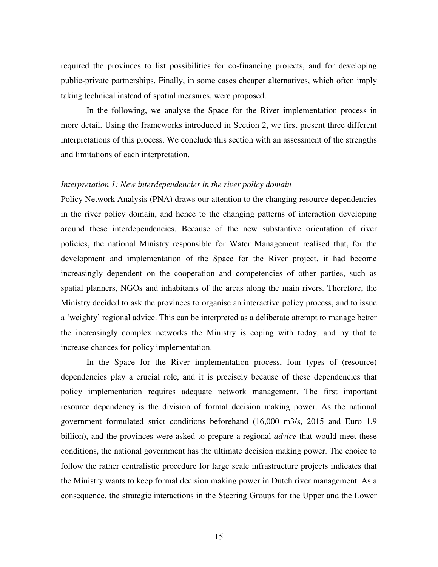required the provinces to list possibilities for co-financing projects, and for developing public-private partnerships. Finally, in some cases cheaper alternatives, which often imply taking technical instead of spatial measures, were proposed.

In the following, we analyse the Space for the River implementation process in more detail. Using the frameworks introduced in Section 2, we first present three different interpretations of this process. We conclude this section with an assessment of the strengths and limitations of each interpretation.

#### *Interpretation 1: New interdependencies in the river policy domain*

Policy Network Analysis (PNA) draws our attention to the changing resource dependencies in the river policy domain, and hence to the changing patterns of interaction developing around these interdependencies. Because of the new substantive orientation of river policies, the national Ministry responsible for Water Management realised that, for the development and implementation of the Space for the River project, it had become increasingly dependent on the cooperation and competencies of other parties, such as spatial planners, NGOs and inhabitants of the areas along the main rivers. Therefore, the Ministry decided to ask the provinces to organise an interactive policy process, and to issue a 'weighty' regional advice. This can be interpreted as a deliberate attempt to manage better the increasingly complex networks the Ministry is coping with today, and by that to increase chances for policy implementation.

In the Space for the River implementation process, four types of (resource) dependencies play a crucial role, and it is precisely because of these dependencies that policy implementation requires adequate network management. The first important resource dependency is the division of formal decision making power. As the national government formulated strict conditions beforehand (16,000 m3/s, 2015 and Euro 1.9 billion), and the provinces were asked to prepare a regional *advice* that would meet these conditions, the national government has the ultimate decision making power. The choice to follow the rather centralistic procedure for large scale infrastructure projects indicates that the Ministry wants to keep formal decision making power in Dutch river management. As a consequence, the strategic interactions in the Steering Groups for the Upper and the Lower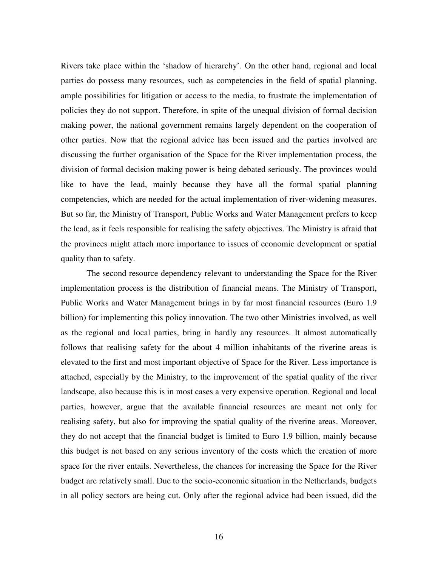Rivers take place within the 'shadow of hierarchy'. On the other hand, regional and local parties do possess many resources, such as competencies in the field of spatial planning, ample possibilities for litigation or access to the media, to frustrate the implementation of policies they do not support. Therefore, in spite of the unequal division of formal decision making power, the national government remains largely dependent on the cooperation of other parties. Now that the regional advice has been issued and the parties involved are discussing the further organisation of the Space for the River implementation process, the division of formal decision making power is being debated seriously. The provinces would like to have the lead, mainly because they have all the formal spatial planning competencies, which are needed for the actual implementation of river-widening measures. But so far, the Ministry of Transport, Public Works and Water Management prefers to keep the lead, as it feels responsible for realising the safety objectives. The Ministry is afraid that the provinces might attach more importance to issues of economic development or spatial quality than to safety.

The second resource dependency relevant to understanding the Space for the River implementation process is the distribution of financial means. The Ministry of Transport, Public Works and Water Management brings in by far most financial resources (Euro 1.9 billion) for implementing this policy innovation. The two other Ministries involved, as well as the regional and local parties, bring in hardly any resources. It almost automatically follows that realising safety for the about 4 million inhabitants of the riverine areas is elevated to the first and most important objective of Space for the River. Less importance is attached, especially by the Ministry, to the improvement of the spatial quality of the river landscape, also because this is in most cases a very expensive operation. Regional and local parties, however, argue that the available financial resources are meant not only for realising safety, but also for improving the spatial quality of the riverine areas. Moreover, they do not accept that the financial budget is limited to Euro 1.9 billion, mainly because this budget is not based on any serious inventory of the costs which the creation of more space for the river entails. Nevertheless, the chances for increasing the Space for the River budget are relatively small. Due to the socio-economic situation in the Netherlands, budgets in all policy sectors are being cut. Only after the regional advice had been issued, did the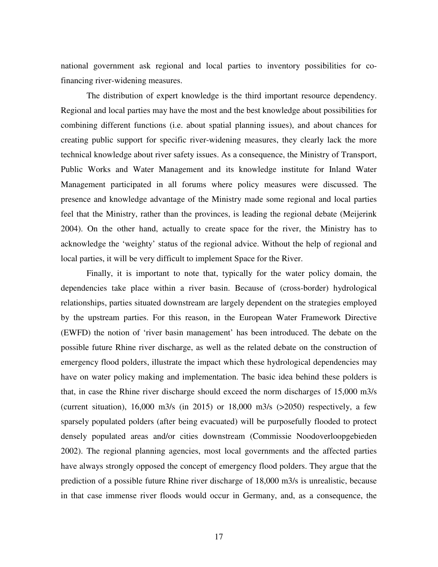national government ask regional and local parties to inventory possibilities for cofinancing river-widening measures.

The distribution of expert knowledge is the third important resource dependency. Regional and local parties may have the most and the best knowledge about possibilities for combining different functions (i.e. about spatial planning issues), and about chances for creating public support for specific river-widening measures, they clearly lack the more technical knowledge about river safety issues. As a consequence, the Ministry of Transport, Public Works and Water Management and its knowledge institute for Inland Water Management participated in all forums where policy measures were discussed. The presence and knowledge advantage of the Ministry made some regional and local parties feel that the Ministry, rather than the provinces, is leading the regional debate (Meijerink 2004). On the other hand, actually to create space for the river, the Ministry has to acknowledge the 'weighty' status of the regional advice. Without the help of regional and local parties, it will be very difficult to implement Space for the River.

Finally, it is important to note that, typically for the water policy domain, the dependencies take place within a river basin. Because of (cross-border) hydrological relationships, parties situated downstream are largely dependent on the strategies employed by the upstream parties. For this reason, in the European Water Framework Directive (EWFD) the notion of 'river basin management' has been introduced. The debate on the possible future Rhine river discharge, as well as the related debate on the construction of emergency flood polders, illustrate the impact which these hydrological dependencies may have on water policy making and implementation. The basic idea behind these polders is that, in case the Rhine river discharge should exceed the norm discharges of 15,000 m3/s (current situation), 16,000 m3/s (in 2015) or 18,000 m3/s (>2050) respectively, a few sparsely populated polders (after being evacuated) will be purposefully flooded to protect densely populated areas and/or cities downstream (Commissie Noodoverloopgebieden 2002). The regional planning agencies, most local governments and the affected parties have always strongly opposed the concept of emergency flood polders. They argue that the prediction of a possible future Rhine river discharge of 18,000 m3/s is unrealistic, because in that case immense river floods would occur in Germany, and, as a consequence, the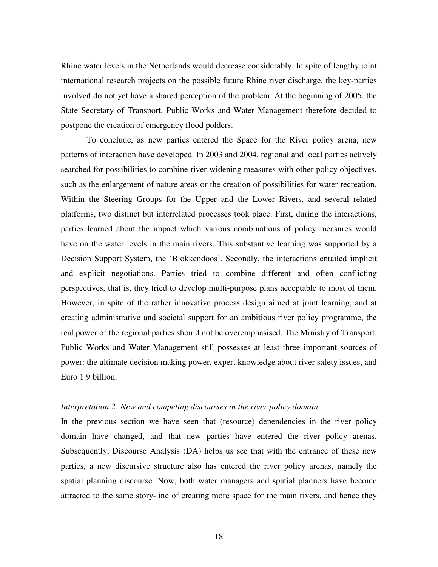Rhine water levels in the Netherlands would decrease considerably. In spite of lengthy joint international research projects on the possible future Rhine river discharge, the key-parties involved do not yet have a shared perception of the problem. At the beginning of 2005, the State Secretary of Transport, Public Works and Water Management therefore decided to postpone the creation of emergency flood polders.

To conclude, as new parties entered the Space for the River policy arena, new patterns of interaction have developed. In 2003 and 2004, regional and local parties actively searched for possibilities to combine river-widening measures with other policy objectives, such as the enlargement of nature areas or the creation of possibilities for water recreation. Within the Steering Groups for the Upper and the Lower Rivers, and several related platforms, two distinct but interrelated processes took place. First, during the interactions, parties learned about the impact which various combinations of policy measures would have on the water levels in the main rivers. This substantive learning was supported by a Decision Support System, the 'Blokkendoos'. Secondly, the interactions entailed implicit and explicit negotiations. Parties tried to combine different and often conflicting perspectives, that is, they tried to develop multi-purpose plans acceptable to most of them. However, in spite of the rather innovative process design aimed at joint learning, and at creating administrative and societal support for an ambitious river policy programme, the real power of the regional parties should not be overemphasised. The Ministry of Transport, Public Works and Water Management still possesses at least three important sources of power: the ultimate decision making power, expert knowledge about river safety issues, and Euro 1.9 billion.

#### *Interpretation 2: New and competing discourses in the river policy domain*

In the previous section we have seen that (resource) dependencies in the river policy domain have changed, and that new parties have entered the river policy arenas. Subsequently, Discourse Analysis (DA) helps us see that with the entrance of these new parties, a new discursive structure also has entered the river policy arenas, namely the spatial planning discourse. Now, both water managers and spatial planners have become attracted to the same story-line of creating more space for the main rivers, and hence they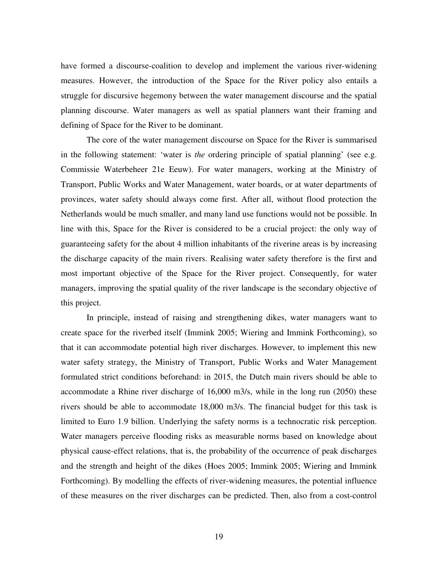have formed a discourse-coalition to develop and implement the various river-widening measures. However, the introduction of the Space for the River policy also entails a struggle for discursive hegemony between the water management discourse and the spatial planning discourse. Water managers as well as spatial planners want their framing and defining of Space for the River to be dominant.

The core of the water management discourse on Space for the River is summarised in the following statement: 'water is *the* ordering principle of spatial planning' (see e.g. Commissie Waterbeheer 21e Eeuw). For water managers, working at the Ministry of Transport, Public Works and Water Management, water boards, or at water departments of provinces, water safety should always come first. After all, without flood protection the Netherlands would be much smaller, and many land use functions would not be possible. In line with this, Space for the River is considered to be a crucial project: the only way of guaranteeing safety for the about 4 million inhabitants of the riverine areas is by increasing the discharge capacity of the main rivers. Realising water safety therefore is the first and most important objective of the Space for the River project. Consequently, for water managers, improving the spatial quality of the river landscape is the secondary objective of this project.

In principle, instead of raising and strengthening dikes, water managers want to create space for the riverbed itself (Immink 2005; Wiering and Immink Forthcoming), so that it can accommodate potential high river discharges. However, to implement this new water safety strategy, the Ministry of Transport, Public Works and Water Management formulated strict conditions beforehand: in 2015, the Dutch main rivers should be able to accommodate a Rhine river discharge of 16,000 m3/s, while in the long run (2050) these rivers should be able to accommodate 18,000 m3/s. The financial budget for this task is limited to Euro 1.9 billion. Underlying the safety norms is a technocratic risk perception. Water managers perceive flooding risks as measurable norms based on knowledge about physical cause-effect relations, that is, the probability of the occurrence of peak discharges and the strength and height of the dikes (Hoes 2005; Immink 2005; Wiering and Immink Forthcoming). By modelling the effects of river-widening measures, the potential influence of these measures on the river discharges can be predicted. Then, also from a cost-control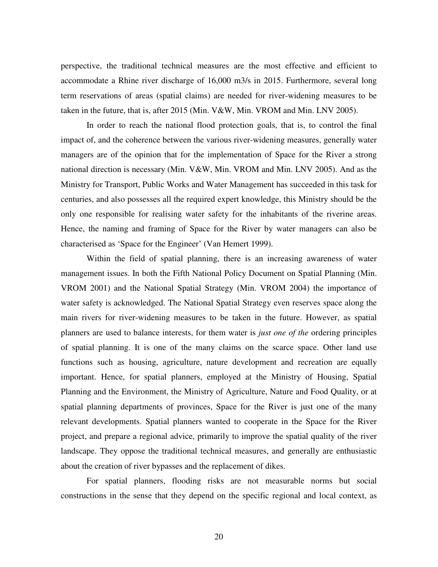perspective, the traditional technical measures are the most effective and efficient to accommodate a Rhine river discharge of 16,000 m3/s in 2015. Furthermore, several long term reservations of areas (spatial claims) are needed for river-widening measures to be taken in the future, that is, after 2015 (Min. V&W, Min. VROM and Min. LNV 2005).

In order to reach the national flood protection goals, that is, to control the final impact of, and the coherence between the various river-widening measures, generally water managers are of the opinion that for the implementation of Space for the River a strong national direction is necessary (Min. V&W, Min. VROM and Min. LNV 2005). And as the Ministry for Transport, Public Works and Water Management has succeeded in this task for centuries, and also possesses all the required expert knowledge, this Ministry should be the only one responsible for realising water safety for the inhabitants of the riverine areas. Hence, the naming and framing of Space for the River by water managers can also be characterised as 'Space for the Engineer' (Van Hemert 1999).

Within the field of spatial planning, there is an increasing awareness of water management issues. In both the Fifth National Policy Document on Spatial Planning (Min. VROM 2001) and the National Spatial Strategy (Min. VROM 2004) the importance of water safety is acknowledged. The National Spatial Strategy even reserves space along the main rivers for river-widening measures to be taken in the future. However, as spatial planners are used to balance interests, for them water is *just one of the* ordering principles of spatial planning. It is one of the many claims on the scarce space. Other land use functions such as housing, agriculture, nature development and recreation are equally important. Hence, for spatial planners, employed at the Ministry of Housing, Spatial Planning and the Environment, the Ministry of Agriculture, Nature and Food Quality, or at spatial planning departments of provinces, Space for the River is just one of the many relevant developments. Spatial planners wanted to cooperate in the Space for the River project, and prepare a regional advice, primarily to improve the spatial quality of the river landscape. They oppose the traditional technical measures, and generally are enthusiastic about the creation of river bypasses and the replacement of dikes.

For spatial planners, flooding risks are not measurable norms but social constructions in the sense that they depend on the specific regional and local context, as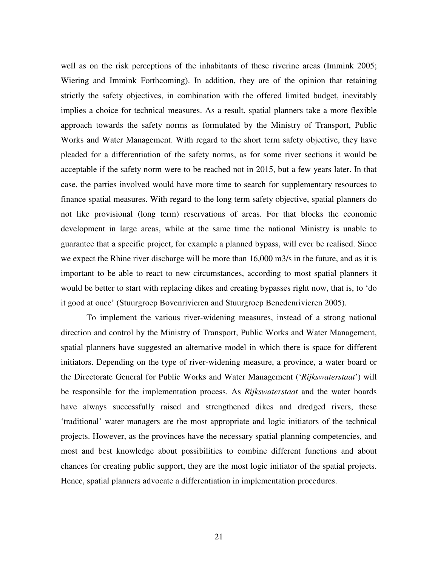well as on the risk perceptions of the inhabitants of these riverine areas (Immink 2005; Wiering and Immink Forthcoming). In addition, they are of the opinion that retaining strictly the safety objectives, in combination with the offered limited budget, inevitably implies a choice for technical measures. As a result, spatial planners take a more flexible approach towards the safety norms as formulated by the Ministry of Transport, Public Works and Water Management. With regard to the short term safety objective, they have pleaded for a differentiation of the safety norms, as for some river sections it would be acceptable if the safety norm were to be reached not in 2015, but a few years later. In that case, the parties involved would have more time to search for supplementary resources to finance spatial measures. With regard to the long term safety objective, spatial planners do not like provisional (long term) reservations of areas. For that blocks the economic development in large areas, while at the same time the national Ministry is unable to guarantee that a specific project, for example a planned bypass, will ever be realised. Since we expect the Rhine river discharge will be more than 16,000 m3/s in the future, and as it is important to be able to react to new circumstances, according to most spatial planners it would be better to start with replacing dikes and creating bypasses right now, that is, to 'do it good at once' (Stuurgroep Bovenrivieren and Stuurgroep Benedenrivieren 2005).

To implement the various river-widening measures, instead of a strong national direction and control by the Ministry of Transport, Public Works and Water Management, spatial planners have suggested an alternative model in which there is space for different initiators. Depending on the type of river-widening measure, a province, a water board or the Directorate General for Public Works and Water Management ('*Rijkswaterstaat*') will be responsible for the implementation process. As *Rijkswaterstaat* and the water boards have always successfully raised and strengthened dikes and dredged rivers, these 'traditional' water managers are the most appropriate and logic initiators of the technical projects. However, as the provinces have the necessary spatial planning competencies, and most and best knowledge about possibilities to combine different functions and about chances for creating public support, they are the most logic initiator of the spatial projects. Hence, spatial planners advocate a differentiation in implementation procedures.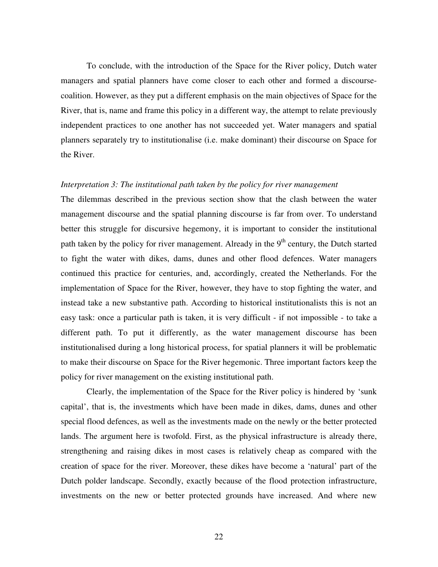To conclude, with the introduction of the Space for the River policy, Dutch water managers and spatial planners have come closer to each other and formed a discoursecoalition. However, as they put a different emphasis on the main objectives of Space for the River, that is, name and frame this policy in a different way, the attempt to relate previously independent practices to one another has not succeeded yet. Water managers and spatial planners separately try to institutionalise (i.e. make dominant) their discourse on Space for the River.

#### *Interpretation 3: The institutional path taken by the policy for river management*

The dilemmas described in the previous section show that the clash between the water management discourse and the spatial planning discourse is far from over. To understand better this struggle for discursive hegemony, it is important to consider the institutional path taken by the policy for river management. Already in the 9<sup>th</sup> century, the Dutch started to fight the water with dikes, dams, dunes and other flood defences. Water managers continued this practice for centuries, and, accordingly, created the Netherlands. For the implementation of Space for the River, however, they have to stop fighting the water, and instead take a new substantive path. According to historical institutionalists this is not an easy task: once a particular path is taken, it is very difficult - if not impossible - to take a different path. To put it differently, as the water management discourse has been institutionalised during a long historical process, for spatial planners it will be problematic to make their discourse on Space for the River hegemonic. Three important factors keep the policy for river management on the existing institutional path.

Clearly, the implementation of the Space for the River policy is hindered by 'sunk capital', that is, the investments which have been made in dikes, dams, dunes and other special flood defences, as well as the investments made on the newly or the better protected lands. The argument here is twofold. First, as the physical infrastructure is already there, strengthening and raising dikes in most cases is relatively cheap as compared with the creation of space for the river. Moreover, these dikes have become a 'natural' part of the Dutch polder landscape. Secondly, exactly because of the flood protection infrastructure, investments on the new or better protected grounds have increased. And where new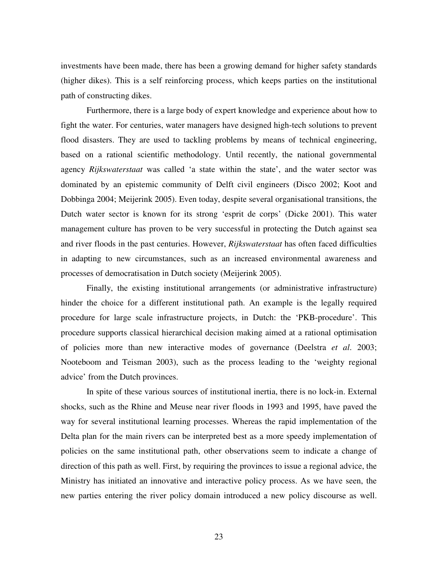investments have been made, there has been a growing demand for higher safety standards (higher dikes). This is a self reinforcing process, which keeps parties on the institutional path of constructing dikes.

Furthermore, there is a large body of expert knowledge and experience about how to fight the water. For centuries, water managers have designed high-tech solutions to prevent flood disasters. They are used to tackling problems by means of technical engineering, based on a rational scientific methodology. Until recently, the national governmental agency *Rijkswaterstaat* was called 'a state within the state', and the water sector was dominated by an epistemic community of Delft civil engineers (Disco 2002; Koot and Dobbinga 2004; Meijerink 2005). Even today, despite several organisational transitions, the Dutch water sector is known for its strong 'esprit de corps' (Dicke 2001). This water management culture has proven to be very successful in protecting the Dutch against sea and river floods in the past centuries. However, *Rijkswaterstaat* has often faced difficulties in adapting to new circumstances, such as an increased environmental awareness and processes of democratisation in Dutch society (Meijerink 2005).

Finally, the existing institutional arrangements (or administrative infrastructure) hinder the choice for a different institutional path. An example is the legally required procedure for large scale infrastructure projects, in Dutch: the 'PKB-procedure'. This procedure supports classical hierarchical decision making aimed at a rational optimisation of policies more than new interactive modes of governance (Deelstra *et al*. 2003; Nooteboom and Teisman 2003), such as the process leading to the 'weighty regional advice' from the Dutch provinces.

In spite of these various sources of institutional inertia, there is no lock-in. External shocks, such as the Rhine and Meuse near river floods in 1993 and 1995, have paved the way for several institutional learning processes. Whereas the rapid implementation of the Delta plan for the main rivers can be interpreted best as a more speedy implementation of policies on the same institutional path, other observations seem to indicate a change of direction of this path as well. First, by requiring the provinces to issue a regional advice, the Ministry has initiated an innovative and interactive policy process. As we have seen, the new parties entering the river policy domain introduced a new policy discourse as well.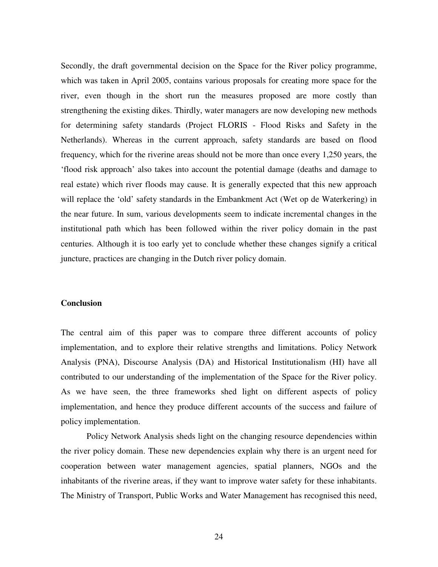Secondly, the draft governmental decision on the Space for the River policy programme, which was taken in April 2005, contains various proposals for creating more space for the river, even though in the short run the measures proposed are more costly than strengthening the existing dikes. Thirdly, water managers are now developing new methods for determining safety standards (Project FLORIS - Flood Risks and Safety in the Netherlands). Whereas in the current approach, safety standards are based on flood frequency, which for the riverine areas should not be more than once every 1,250 years, the 'flood risk approach' also takes into account the potential damage (deaths and damage to real estate) which river floods may cause. It is generally expected that this new approach will replace the 'old' safety standards in the Embankment Act (Wet op de Waterkering) in the near future. In sum, various developments seem to indicate incremental changes in the institutional path which has been followed within the river policy domain in the past centuries. Although it is too early yet to conclude whether these changes signify a critical juncture, practices are changing in the Dutch river policy domain.

### **Conclusion**

The central aim of this paper was to compare three different accounts of policy implementation, and to explore their relative strengths and limitations. Policy Network Analysis (PNA), Discourse Analysis (DA) and Historical Institutionalism (HI) have all contributed to our understanding of the implementation of the Space for the River policy. As we have seen, the three frameworks shed light on different aspects of policy implementation, and hence they produce different accounts of the success and failure of policy implementation.

Policy Network Analysis sheds light on the changing resource dependencies within the river policy domain. These new dependencies explain why there is an urgent need for cooperation between water management agencies, spatial planners, NGOs and the inhabitants of the riverine areas, if they want to improve water safety for these inhabitants. The Ministry of Transport, Public Works and Water Management has recognised this need,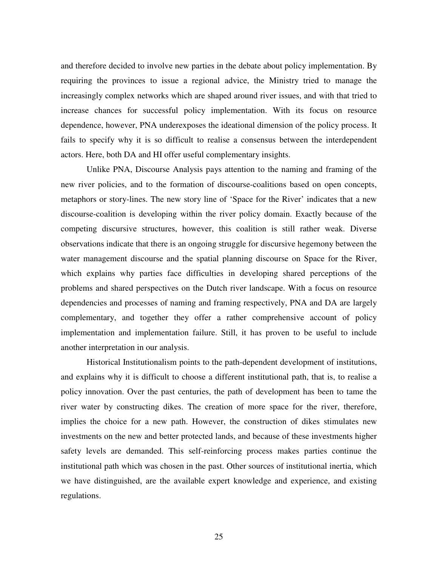and therefore decided to involve new parties in the debate about policy implementation. By requiring the provinces to issue a regional advice, the Ministry tried to manage the increasingly complex networks which are shaped around river issues, and with that tried to increase chances for successful policy implementation. With its focus on resource dependence, however, PNA underexposes the ideational dimension of the policy process. It fails to specify why it is so difficult to realise a consensus between the interdependent actors. Here, both DA and HI offer useful complementary insights.

Unlike PNA, Discourse Analysis pays attention to the naming and framing of the new river policies, and to the formation of discourse-coalitions based on open concepts, metaphors or story-lines. The new story line of 'Space for the River' indicates that a new discourse-coalition is developing within the river policy domain. Exactly because of the competing discursive structures, however, this coalition is still rather weak. Diverse observations indicate that there is an ongoing struggle for discursive hegemony between the water management discourse and the spatial planning discourse on Space for the River, which explains why parties face difficulties in developing shared perceptions of the problems and shared perspectives on the Dutch river landscape. With a focus on resource dependencies and processes of naming and framing respectively, PNA and DA are largely complementary, and together they offer a rather comprehensive account of policy implementation and implementation failure. Still, it has proven to be useful to include another interpretation in our analysis.

Historical Institutionalism points to the path-dependent development of institutions, and explains why it is difficult to choose a different institutional path, that is, to realise a policy innovation. Over the past centuries, the path of development has been to tame the river water by constructing dikes. The creation of more space for the river, therefore, implies the choice for a new path. However, the construction of dikes stimulates new investments on the new and better protected lands, and because of these investments higher safety levels are demanded. This self-reinforcing process makes parties continue the institutional path which was chosen in the past. Other sources of institutional inertia, which we have distinguished, are the available expert knowledge and experience, and existing regulations.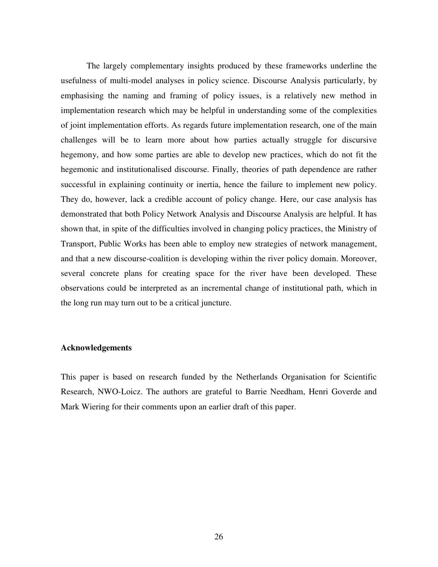The largely complementary insights produced by these frameworks underline the usefulness of multi-model analyses in policy science. Discourse Analysis particularly, by emphasising the naming and framing of policy issues, is a relatively new method in implementation research which may be helpful in understanding some of the complexities of joint implementation efforts. As regards future implementation research, one of the main challenges will be to learn more about how parties actually struggle for discursive hegemony, and how some parties are able to develop new practices, which do not fit the hegemonic and institutionalised discourse. Finally, theories of path dependence are rather successful in explaining continuity or inertia, hence the failure to implement new policy. They do, however, lack a credible account of policy change. Here, our case analysis has demonstrated that both Policy Network Analysis and Discourse Analysis are helpful. It has shown that, in spite of the difficulties involved in changing policy practices, the Ministry of Transport, Public Works has been able to employ new strategies of network management, and that a new discourse-coalition is developing within the river policy domain. Moreover, several concrete plans for creating space for the river have been developed. These observations could be interpreted as an incremental change of institutional path, which in the long run may turn out to be a critical juncture.

#### **Acknowledgements**

This paper is based on research funded by the Netherlands Organisation for Scientific Research, NWO-Loicz. The authors are grateful to Barrie Needham, Henri Goverde and Mark Wiering for their comments upon an earlier draft of this paper.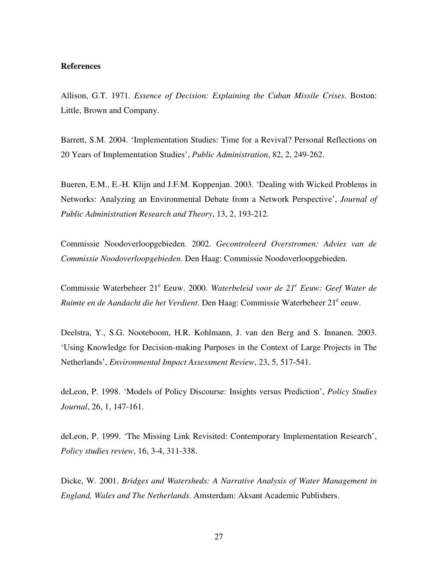#### **References**

Allison, G.T. 1971. *Essence of Decision: Explaining the Cuban Missile Crises*. Boston: Little, Brown and Company.

Barrett, S.M. 2004. 'Implementation Studies: Time for a Revival? Personal Reflections on 20 Years of Implementation Studies', *Public Administration*, 82, 2, 249-262.

Bueren, E.M., E.-H. Klijn and J.F.M. Koppenjan. 2003. 'Dealing with Wicked Problems in Networks: Analyzing an Environmental Debate from a Network Perspective', *Journal of Public Administration Research and Theory*, 13, 2, 193-212.

Commissie Noodoverloopgebieden. 2002. *Gecontroleerd Overstromen: Advies van de Commissie Noodoverloopgebieden*. Den Haag: Commissie Noodoverloopgebieden.

Commissie Waterbeheer 21 e Eeuw. 2000. *Waterbeleid voor de 21 e Eeuw: Geef Water de* Ruimte en de Aandacht die het Verdient. Den Haag: Commissie Waterbeheer 21<sup>e</sup> eeuw.

Deelstra, Y., S.G. Nooteboom, H.R. Kohlmann, J. van den Berg and S. Innanen. 2003. 'Using Knowledge for Decision-making Purposes in the Context of Large Projects in The Netherlands', *Environmental Impact Assessment Review*, 23, 5, 517-541.

deLeon, P. 1998. 'Models of Policy Discourse: Insights versus Prediction', *Policy Studies Journal*, 26, 1, 147-161.

deLeon, P. 1999. 'The Missing Link Revisited: Contemporary Implementation Research', *Policy studies review*, 16, 3-4, 311-338.

Dicke, W. 2001. *Bridges and Watersheds: A Narrative Analysis of Water Management in England, Wales and The Netherlands*. Amsterdam: Aksant Academic Publishers.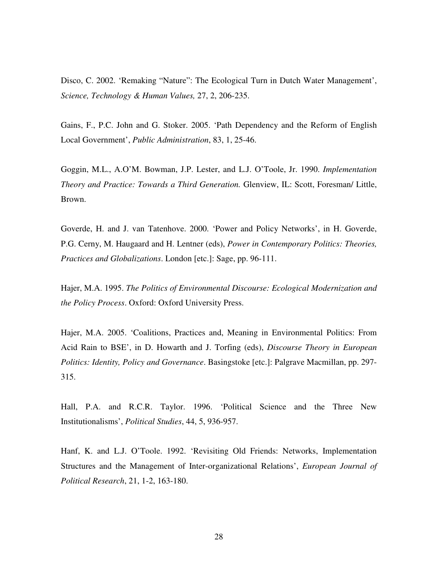Disco, C. 2002. 'Remaking "Nature": The Ecological Turn in Dutch Water Management', *Science, Technology & Human Values,* 27, 2, 206-235.

Gains, F., P.C. John and G. Stoker. 2005. 'Path Dependency and the Reform of English Local Government', *Public Administration*, 83, 1, 25-46.

Goggin, M.L., A.O'M. Bowman, J.P. Lester, and L.J. O'Toole, Jr. 1990. *Implementation Theory and Practice: Towards a Third Generation.* Glenview, IL: Scott, Foresman/ Little, Brown.

Goverde, H. and J. van Tatenhove. 2000. 'Power and Policy Networks', in H. Goverde, P.G. Cerny, M. Haugaard and H. Lentner (eds), *Power in Contemporary Politics: Theories, Practices and Globalizations*. London [etc.]: Sage, pp. 96-111.

Hajer, M.A. 1995. *The Politics of Environmental Discourse: Ecological Modernization and the Policy Process*. Oxford: Oxford University Press.

Hajer, M.A. 2005. 'Coalitions, Practices and, Meaning in Environmental Politics: From Acid Rain to BSE', in D. Howarth and J. Torfing (eds), *Discourse Theory in European Politics: Identity, Policy and Governance*. Basingstoke [etc.]: Palgrave Macmillan, pp. 297- 315.

Hall, P.A. and R.C.R. Taylor. 1996. 'Political Science and the Three New Institutionalisms', *Political Studies*, 44, 5, 936-957.

Hanf, K. and L.J. O'Toole. 1992. 'Revisiting Old Friends: Networks, Implementation Structures and the Management of Inter-organizational Relations', *European Journal of Political Research*, 21, 1-2, 163-180.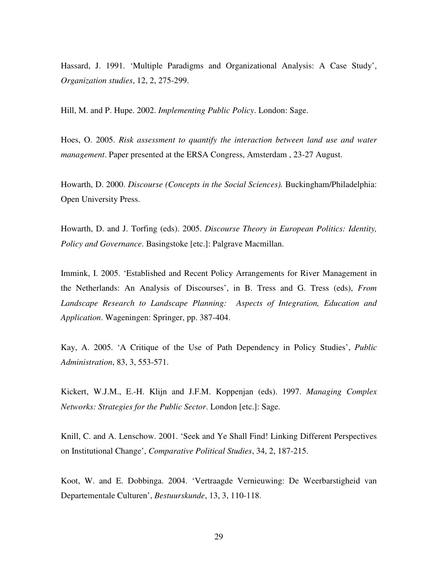Hassard, J. 1991. 'Multiple Paradigms and Organizational Analysis: A Case Study', *Organization studies*, 12, 2, 275-299.

Hill, M. and P. Hupe. 2002. *Implementing Public Policy*. London: Sage.

Hoes, O. 2005. *Risk assessment to quantify the interaction between land use and water management*. Paper presented at the ERSA Congress, Amsterdam , 23-27 August.

Howarth, D. 2000. *Discourse (Concepts in the Social Sciences).* Buckingham/Philadelphia: Open University Press.

Howarth, D. and J. Torfing (eds). 2005. *Discourse Theory in European Politics: Identity, Policy and Governance*. Basingstoke [etc.]: Palgrave Macmillan.

Immink, I. 2005. 'Established and Recent Policy Arrangements for River Management in the Netherlands: An Analysis of Discourses', in B. Tress and G. Tress (eds), *From Landscape Research to Landscape Planning: Aspects of Integration, Education and Application*. Wageningen: Springer, pp. 387-404.

Kay, A. 2005. 'A Critique of the Use of Path Dependency in Policy Studies', *Public Administration*, 83, 3, 553-571.

Kickert, W.J.M., E.-H. Klijn and J.F.M. Koppenjan (eds). 1997. *Managing Complex Networks: Strategies for the Public Sector*. London [etc.]: Sage.

Knill, C. and A. Lenschow. 2001. 'Seek and Ye Shall Find! Linking Different Perspectives on Institutional Change', *Comparative Political Studies*, 34, 2, 187-215.

Koot, W. and E. Dobbinga. 2004. 'Vertraagde Vernieuwing: De Weerbarstigheid van Departementale Culturen', *Bestuurskunde*, 13, 3, 110-118.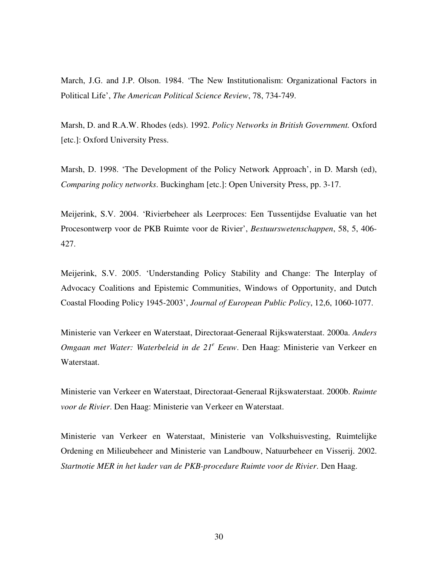March, J.G. and J.P. Olson. 1984. 'The New Institutionalism: Organizational Factors in Political Life', *The American Political Science Review*, 78, 734-749.

Marsh, D. and R.A.W. Rhodes (eds). 1992. *Policy Networks in British Government.* Oxford [etc.]: Oxford University Press.

Marsh, D. 1998. 'The Development of the Policy Network Approach', in D. Marsh (ed), *Comparing policy networks*. Buckingham [etc.]: Open University Press, pp. 3-17.

Meijerink, S.V. 2004. 'Rivierbeheer als Leerproces: Een Tussentijdse Evaluatie van het Procesontwerp voor de PKB Ruimte voor de Rivier', *Bestuurswetenschappen*, 58, 5, 406- 427.

Meijerink, S.V. 2005. 'Understanding Policy Stability and Change: The Interplay of Advocacy Coalitions and Epistemic Communities, Windows of Opportunity, and Dutch Coastal Flooding Policy 1945-2003', *Journal of European Public Policy*, 12,6, 1060-1077.

Ministerie van Verkeer en Waterstaat, Directoraat-Generaal Rijkswaterstaat. 2000a. *Anders Omgaan met Water: Waterbeleid in de 21 e Eeuw*. Den Haag: Ministerie van Verkeer en Waterstaat.

Ministerie van Verkeer en Waterstaat, Directoraat-Generaal Rijkswaterstaat. 2000b. *Ruimte voor de Rivier*. Den Haag: Ministerie van Verkeer en Waterstaat.

Ministerie van Verkeer en Waterstaat, Ministerie van Volkshuisvesting, Ruimtelijke Ordening en Milieubeheer and Ministerie van Landbouw, Natuurbeheer en Visserij. 2002. *Startnotie MER in het kader van de PKB-procedure Ruimte voor de Rivier*. Den Haag.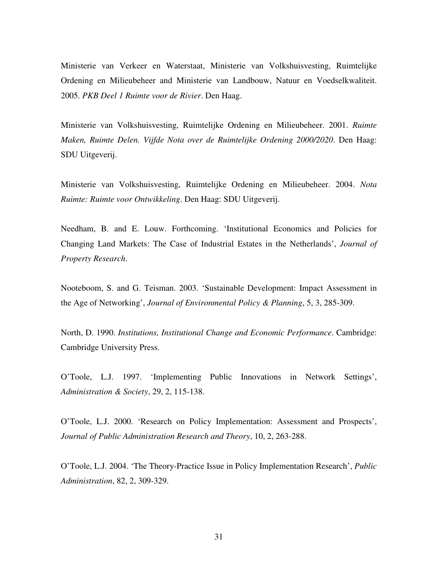Ministerie van Verkeer en Waterstaat, Ministerie van Volkshuisvesting, Ruimtelijke Ordening en Milieubeheer and Ministerie van Landbouw, Natuur en Voedselkwaliteit. 2005. *PKB Deel 1 Ruimte voor de Rivier*. Den Haag.

Ministerie van Volkshuisvesting, Ruimtelijke Ordening en Milieubeheer. 2001. *Ruimte Maken, Ruimte Delen. Vijfde Nota over de Ruimtelijke Ordening 2000/2020*. Den Haag: SDU Uitgeverij.

Ministerie van Volkshuisvesting, Ruimtelijke Ordening en Milieubeheer. 2004. *Nota Ruimte: Ruimte voor Ontwikkeling*. Den Haag: SDU Uitgeverij.

Needham, B. and E. Louw. Forthcoming. 'Institutional Economics and Policies for Changing Land Markets: The Case of Industrial Estates in the Netherlands', *Journal of Property Research*.

Nooteboom, S. and G. Teisman. 2003. 'Sustainable Development: Impact Assessment in the Age of Networking', *Journal of Environmental Policy & Planning*, 5, 3, 285-309.

North, D. 1990. *Institutions, Institutional Change and Economic Performance*. Cambridge: Cambridge University Press.

O'Toole, L.J. 1997. 'Implementing Public Innovations in Network Settings', *Administration & Society*, 29, 2, 115-138.

O'Toole, L.J. 2000. 'Research on Policy Implementation: Assessment and Prospects', *Journal of Public Administration Research and Theory*, 10, 2, 263-288.

O'Toole, L.J. 2004. 'The Theory-Practice Issue in Policy Implementation Research', *Public Administration*, 82, 2, 309-329.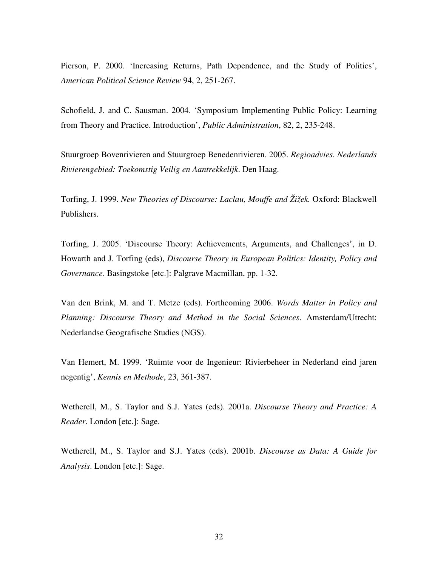Pierson, P. 2000. 'Increasing Returns, Path Dependence, and the Study of Politics', *American Political Science Review* 94, 2, 251-267.

Schofield, J. and C. Sausman. 2004. 'Symposium Implementing Public Policy: Learning from Theory and Practice. Introduction', *Public Administration*, 82, 2, 235-248.

Stuurgroep Bovenrivieren and Stuurgroep Benedenrivieren. 2005. *Regioadvies. Nederlands Rivierengebied: Toekomstig Veilig en Aantrekkelijk*. Den Haag.

Torfing, J. 1999. *New Theories of Discourse: Laclau, Mouffe and Žižek.* Oxford: Blackwell Publishers.

Torfing, J. 2005. 'Discourse Theory: Achievements, Arguments, and Challenges', in D. Howarth and J. Torfing (eds), *Discourse Theory in European Politics: Identity, Policy and Governance*. Basingstoke [etc.]: Palgrave Macmillan, pp. 1-32.

Van den Brink, M. and T. Metze (eds). Forthcoming 2006. *Words Matter in Policy and Planning: Discourse Theory and Method in the Social Sciences*. Amsterdam/Utrecht: Nederlandse Geografische Studies (NGS).

Van Hemert, M. 1999. 'Ruimte voor de Ingenieur: Rivierbeheer in Nederland eind jaren negentig', *Kennis en Methode*, 23, 361-387.

Wetherell, M., S. Taylor and S.J. Yates (eds). 2001a. *Discourse Theory and Practice: A Reader*. London [etc.]: Sage.

Wetherell, M., S. Taylor and S.J. Yates (eds). 2001b. *Discourse as Data: A Guide for Analysis*. London [etc.]: Sage.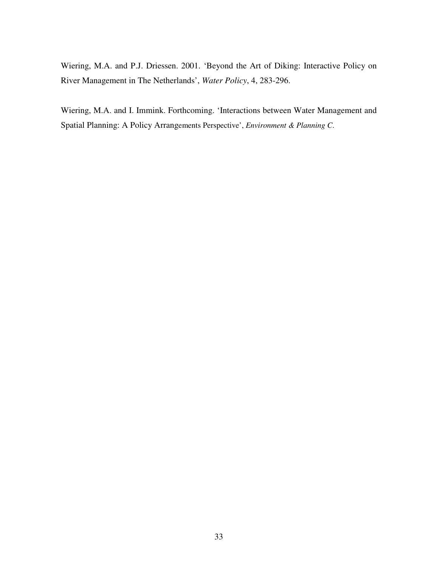Wiering, M.A. and P.J. Driessen. 2001. 'Beyond the Art of Diking: Interactive Policy on River Management in The Netherlands', *Water Policy*, 4, 283-296.

Wiering, M.A. and I. Immink. Forthcoming. 'Interactions between Water Management and Spatial Planning: A Policy Arrangements Perspective', *Environment & Planning C*.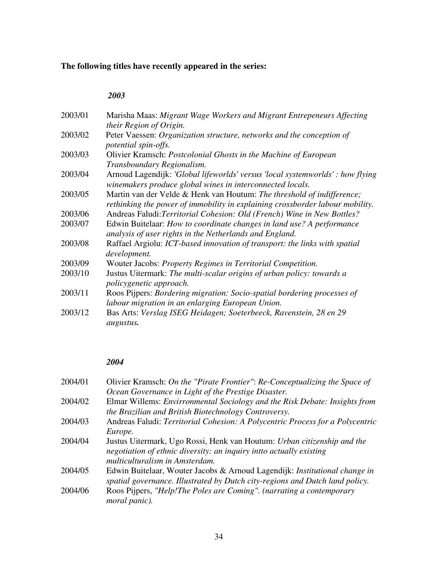# **The following titles have recently appeared in the series:**

# *2003*

| 2003/01 | Marisha Maas: Migrant Wage Workers and Migrant Entrepeneurs Affecting          |
|---------|--------------------------------------------------------------------------------|
|         | their Region of Origin.                                                        |
| 2003/02 | Peter Vaessen: Organization structure, networks and the conception of          |
|         | potential spin-offs.                                                           |
| 2003/03 | Olivier Kramsch: <i>Postcolonial Ghosts in the Machine of European</i>         |
|         | Transboundary Regionalism.                                                     |
| 2003/04 | Arnoud Lagendijk: 'Global lifeworlds' versus 'local systemworlds' : how flying |
|         | winemakers produce global wines in interconnected locals.                      |
| 2003/05 | Martin van der Velde & Henk van Houtum: The threshold of indifference;         |
|         | rethinking the power of immobility in explaining crossborder labour mobility.  |
| 2003/06 | Andreas Faludi: Territorial Cohesion: Old (French) Wine in New Bottles?        |
| 2003/07 | Edwin Buitelaar: How to coordinate changes in land use? A performance          |
|         | analysis of user rights in the Netherlands and England.                        |
| 2003/08 | Raffael Argiolu: ICT-based innovation of transport: the links with spatial     |
|         |                                                                                |
|         | development.                                                                   |
| 2003/09 | Wouter Jacobs: Property Regimes in Territorial Competition.                    |
| 2003/10 | Justus Uitermark: The multi-scalar origins of urban policy: towards a          |
|         | policygenetic approach.                                                        |
| 2003/11 | Roos Pijpers: Bordering migration: Socio-spatial bordering processes of        |
|         | labour migration in an enlarging European Union.                               |
| 2003/12 | Bas Arts: Verslag ISEG Heidagen; Soeterbeeck, Ravenstein, 28 en 29             |
|         | augustus.                                                                      |
|         |                                                                                |

# *2004*

| 2004/01 | Olivier Kramsch: On the "Pirate Frontier": Re-Conceptualizing the Space of<br>Ocean Governance in Light of the Prestige Disaster.                                                |
|---------|----------------------------------------------------------------------------------------------------------------------------------------------------------------------------------|
| 2004/02 | Elmar Willems: Envirronmental Sociology and the Risk Debate: Insights from<br>the Brazilian and British Biotechnology Controversy.                                               |
| 2004/03 | Andreas Faludi: Territorial Cohesion: A Polycentric Process for a Polycentric<br>Europe.                                                                                         |
| 2004/04 | Justus Uitermark, Ugo Rossi, Henk van Houtum: Urban citizenship and the<br>negotiation of ethnic diversity: an inquiry intto actually existing<br>multiculturalism in Amsterdam. |
| 2004/05 | Edwin Buitelaar, Wouter Jacobs & Arnoud Lagendijk: <i>Institutional change in</i><br>spatial governance. Illustrated by Dutch city-regions and Dutch land policy.                |
| 2004/06 | Roos Pijpers, "Help! The Poles are Coming". (narrating a contemporary<br>moral panic).                                                                                           |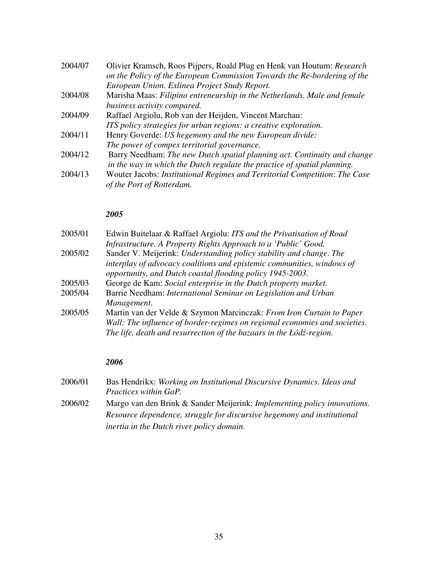| 2004/07 | Olivier Kramsch, Roos Pijpers, Roald Plug en Henk van Houtum: Research<br>on the Policy of the European Commission Towards the Re-bordering of the   |
|---------|------------------------------------------------------------------------------------------------------------------------------------------------------|
|         | European Union. Exlinea Project Study Report.                                                                                                        |
| 2004/08 | Marisha Maas: Filipino entreneurship in the Netherlands. Male and female                                                                             |
|         | business activity compared.                                                                                                                          |
| 2004/09 | Raffael Argiolu, Rob van der Heijden, Vincent Marchau:                                                                                               |
|         | ITS policy strategies for urban regions: a creative exploration.                                                                                     |
| 2004/11 | Henry Goverde: US hegemony and the new European divide:                                                                                              |
|         | The power of compex territorial governance.                                                                                                          |
| 2004/12 | Barry Needham: The new Dutch spatial planning act. Continuity and change<br>in the way in which the Dutch regulate the practice of spatial planning. |
| 2004/13 | Wouter Jacobs: Institutional Regimes and Territorial Competition: The Case<br>of the Port of Rotterdam.                                              |

# *2005*

| 2005/01 | Edwin Buitelaar & Raffael Argiolu: ITS and the Privatisation of Road       |
|---------|----------------------------------------------------------------------------|
|         | Infrastructure. A Property Rights Approach to a 'Public' Good.             |
| 2005/02 | Sander V. Meijerink: Understanding policy stability and change. The        |
|         | interplay of advocacy coalitions and epistemic communities, windows of     |
|         | opportunity, and Dutch coastal flooding policy 1945-2003.                  |
| 2005/03 | George de Kam: Social enterprise in the Dutch property market.             |
| 2005/04 | Barrie Needham: International Seminar on Legislation and Urban             |
|         | Management.                                                                |
| 2005/05 | Martin van der Velde & Szymon Marcinczak: From Iron Curtain to Paper       |
|         | Wall: The influence of border-regimes on regional economies and societies. |
|         | The life, death and resurrection of the bazaars in the Łódź-region.        |
|         |                                                                            |

# *2006*

| 2006/01 | Bas Hendrikx: Working on Institutional Discursive Dynamics. Ideas and |
|---------|-----------------------------------------------------------------------|
|         | <i>Practices within GaP.</i>                                          |

2006/02 Margo van den Brink & Sander Meijerink: *Implementing policy innovations. Resource dependence, struggle for discursive hegemony and institutional inertia in the Dutch river policy domain.*